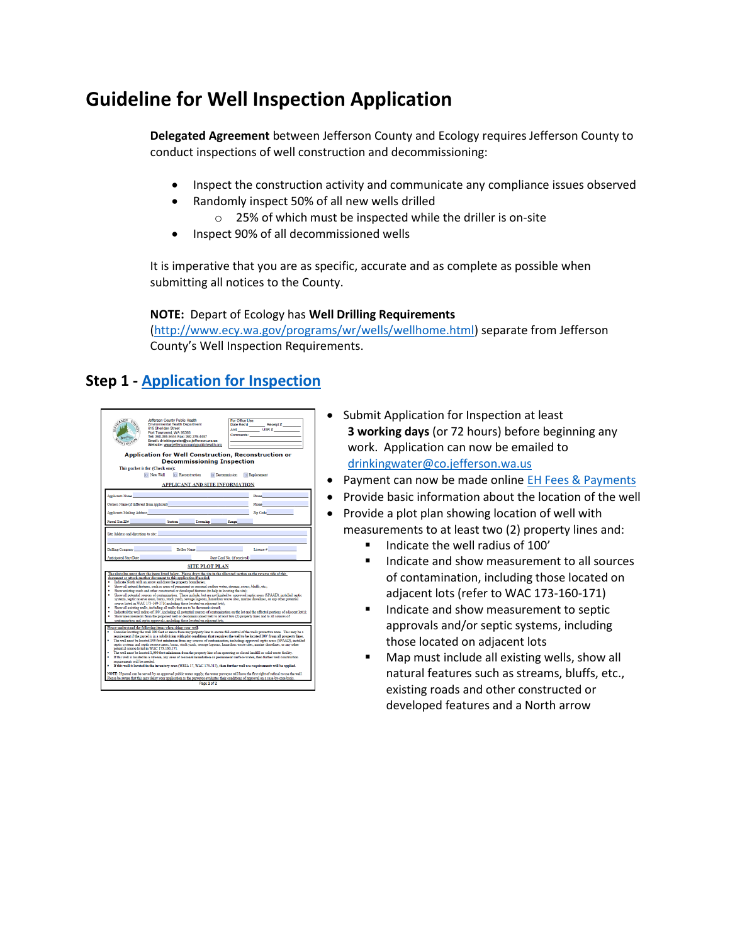# **Guideline for Well Inspection Application**

**Delegated Agreement** between Jefferson County and Ecology requires Jefferson County to conduct inspections of well construction and decommissioning:

- Inspect the construction activity and communicate any compliance issues observed
- Randomly inspect 50% of all new wells drilled
	- o 25% of which must be inspected while the driller is on-site
- Inspect 90% of all decommissioned wells

It is imperative that you are as specific, accurate and as complete as possible when submitting all notices to the County.

#### **NOTE:** Depart of Ecology has **Well Drilling Requirements**

[\(http://www.ecy.wa.gov/programs/wr/wells/wellhome.html\)](http://www.ecy.wa.gov/programs/wr/wells/wellhome.html) separate from Jefferson County's Well Inspection Requirements.

### **Step 1 - [Application for Inspection](https://www.jeffersoncountypublichealth.org/DocumentCenter/View/1211/Application-For-Inspection-Of-Well-Construction-Reconstruction-Or-Decommissioning-PDF)**

| Jefferson County Public Health<br>FRESON<br><b>Environmental Health Department</b><br>615 Sheridan Street<br>Port Townsend, WA 98368<br>Tel: 360.385.9444 Fax: 360.379.4487<br>Email: drinkingwater@co.iefferson.wa.us<br><b>ASHING</b><br>Website: www.jeffersoncountypublichealth.org<br>Application for Well Construction, Reconstruction or<br><b>Decommissioning Inspection</b><br>This packet is for (Check one):<br><b>Reconstruction</b><br><b>In New Well</b><br><b>Decommission</b><br>APPLICANT AND SITE INFORMATION                                                                                                                                                                                                                                                                                                                                                                                                                                                                                                                                                                                                                                                                                                                                                                                                                                                                                                                                                                                                                                                                                                                                                                                                                                                                                                                                                                                                                                                                                                                                                                                                                                                                                                                                                                                                                                                                                                                                                                                                                                                                                                                                                                                     | For Office Lise:<br>Comments:<br><b>El Replacement</b> |
|---------------------------------------------------------------------------------------------------------------------------------------------------------------------------------------------------------------------------------------------------------------------------------------------------------------------------------------------------------------------------------------------------------------------------------------------------------------------------------------------------------------------------------------------------------------------------------------------------------------------------------------------------------------------------------------------------------------------------------------------------------------------------------------------------------------------------------------------------------------------------------------------------------------------------------------------------------------------------------------------------------------------------------------------------------------------------------------------------------------------------------------------------------------------------------------------------------------------------------------------------------------------------------------------------------------------------------------------------------------------------------------------------------------------------------------------------------------------------------------------------------------------------------------------------------------------------------------------------------------------------------------------------------------------------------------------------------------------------------------------------------------------------------------------------------------------------------------------------------------------------------------------------------------------------------------------------------------------------------------------------------------------------------------------------------------------------------------------------------------------------------------------------------------------------------------------------------------------------------------------------------------------------------------------------------------------------------------------------------------------------------------------------------------------------------------------------------------------------------------------------------------------------------------------------------------------------------------------------------------------------------------------------------------------------------------------------------------------|--------------------------------------------------------|
| Applicants Name                                                                                                                                                                                                                                                                                                                                                                                                                                                                                                                                                                                                                                                                                                                                                                                                                                                                                                                                                                                                                                                                                                                                                                                                                                                                                                                                                                                                                                                                                                                                                                                                                                                                                                                                                                                                                                                                                                                                                                                                                                                                                                                                                                                                                                                                                                                                                                                                                                                                                                                                                                                                                                                                                                     | Phone                                                  |
| Owners Name (if different from applicant)                                                                                                                                                                                                                                                                                                                                                                                                                                                                                                                                                                                                                                                                                                                                                                                                                                                                                                                                                                                                                                                                                                                                                                                                                                                                                                                                                                                                                                                                                                                                                                                                                                                                                                                                                                                                                                                                                                                                                                                                                                                                                                                                                                                                                                                                                                                                                                                                                                                                                                                                                                                                                                                                           | Phone                                                  |
| <b>Applicants Mailing Address</b>                                                                                                                                                                                                                                                                                                                                                                                                                                                                                                                                                                                                                                                                                                                                                                                                                                                                                                                                                                                                                                                                                                                                                                                                                                                                                                                                                                                                                                                                                                                                                                                                                                                                                                                                                                                                                                                                                                                                                                                                                                                                                                                                                                                                                                                                                                                                                                                                                                                                                                                                                                                                                                                                                   | Zip Code                                               |
| Pareel Tax ID#<br>Section Township Range                                                                                                                                                                                                                                                                                                                                                                                                                                                                                                                                                                                                                                                                                                                                                                                                                                                                                                                                                                                                                                                                                                                                                                                                                                                                                                                                                                                                                                                                                                                                                                                                                                                                                                                                                                                                                                                                                                                                                                                                                                                                                                                                                                                                                                                                                                                                                                                                                                                                                                                                                                                                                                                                            |                                                        |
| Site Address and directions to site:<br>Drilling Company <b>Company</b><br>Driller Name<br><b>Anticipated Start Date</b><br>Start Card No. (if received)<br><b>SITE PLOT PLAN</b>                                                                                                                                                                                                                                                                                                                                                                                                                                                                                                                                                                                                                                                                                                                                                                                                                                                                                                                                                                                                                                                                                                                                                                                                                                                                                                                                                                                                                                                                                                                                                                                                                                                                                                                                                                                                                                                                                                                                                                                                                                                                                                                                                                                                                                                                                                                                                                                                                                                                                                                                   | License # 2000 1000                                    |
| The plot plan must show the items listed below. Please draw the site in the allocated section on the reverse side of this<br>document or attach another document to this application if needed.<br>Indicate North with an arrow and draw the property boundaries:<br>Show all natural features, such as areas of permanent or seasonal surface water, streams, rivers, bluffs, etc.;<br>Show existing roads and other constructed or developed features (to help in locating the site):<br>Show all potential sources of contamination. These include, but are not limited to: approved septic areas (SPAAD), installed septic<br>systems, septic reserve areas, barns, stock yards, sewage lagoons, hazardous waste sites, marine shorelines, or any other potential<br>source listed in WAC 173-160-171(including those located on adjacent lots);<br>Show all existing wells, including all wells that are to be decommissioned:<br>Indicated the well radius of 100", including all potential sources of contamination on the lot and the affected portions of adiacent lot(s):<br>Show measurements from the proposed well or decommissioned well to at least two (2) property lines and to all sources of<br>contamination and septic approvals, including those located on adjacent lots;<br>Please understand the following items when siting your well:<br>Consider locating the well 100 feet or more from any property line to ensure full control of the wells protective zone. This may be a<br>requirement if the parcel is in a subdivision with plat conditions that requires the well to be located 100° from all property lines.<br>The well must be located 100 feet minimum from any sources of contamination, including: approved septic areas (SPAAD), installed<br>septic systems and septic reserve areas, barns, stock yards, sewage lagoons, hazardous waste sites, marine shorelines, or any other<br>potential source listed in WAC 173-160-171.<br>The well must be located 1,000 feet minimum from the property line of an operating or closed landfill or solid waste ficility.<br>If this well is located in a stream, any area of seasonal inundation or permanent surface water, then further well construction<br>requirements will be needed.<br>If this well is located in the inventory area (WRIA 17, WAC 173-517), then further well use requirements will be applied.<br>NOTE: If pareal can be served by an approved public water supply, the water purveyor will have the first right of refusal to use the well.<br>Please be aware that this may delay your application as the purveyor evaluates their conditions of approval on a case-by-case basis.<br>Page 1 of 2 |                                                        |

- Submit Application for Inspection at least  **3 working days** (or 72 hours) before beginning any work. Application can now be emailed to [drinkingwater@co.jefferson.wa.us](mailto:drinkingwater@co.jefferson.wa.us)
- Payment can now be made online EH Fees & Payments
- Provide basic information about the location of the well
- Provide a plot plan showing location of well with measurements to at least two (2) property lines and:
	- Indicate the well radius of 100'
	- Indicate and show measurement to all sources of contamination, including those located on adjacent lots (refer to WAC 173-160-171)
	- Indicate and show measurement to septic approvals and/or septic systems, including those located on adjacent lots
	- **Map must include all existing wells, show all** natural features such as streams, bluffs, etc., existing roads and other constructed or developed features and a North arrow